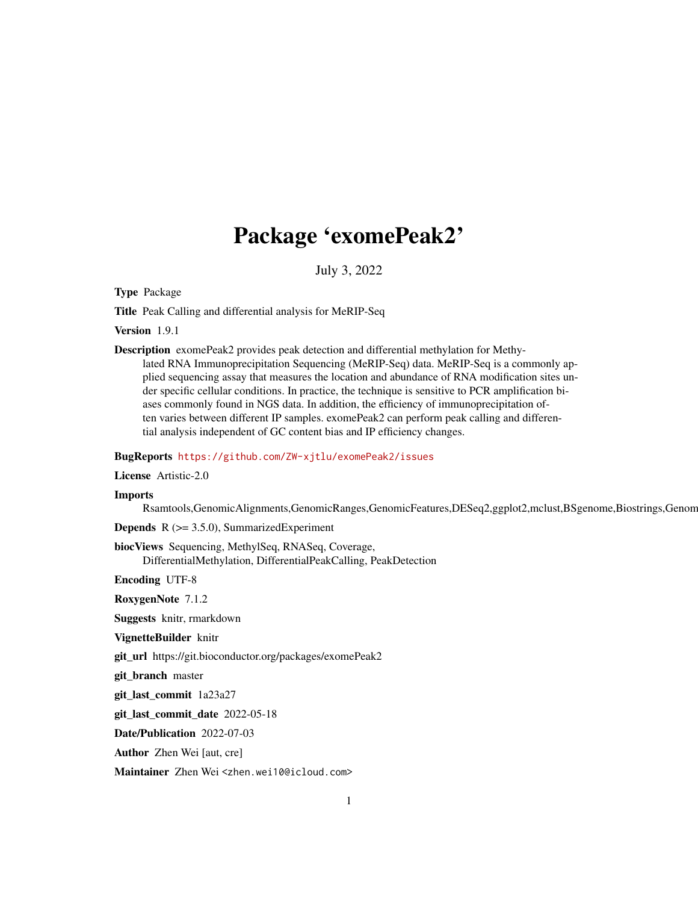## Package 'exomePeak2'

July 3, 2022

<span id="page-0-0"></span>Type Package

Title Peak Calling and differential analysis for MeRIP-Seq

Version 1.9.1

Description exomePeak2 provides peak detection and differential methylation for Methylated RNA Immunoprecipitation Sequencing (MeRIP-Seq) data. MeRIP-Seq is a commonly applied sequencing assay that measures the location and abundance of RNA modification sites under specific cellular conditions. In practice, the technique is sensitive to PCR amplification biases commonly found in NGS data. In addition, the efficiency of immunoprecipitation often varies between different IP samples. exomePeak2 can perform peak calling and differential analysis independent of GC content bias and IP efficiency changes.

#### BugReports <https://github.com/ZW-xjtlu/exomePeak2/issues>

License Artistic-2.0

#### Imports

Rsamtools,GenomicAlignments,GenomicRanges,GenomicFeatures,DESeq2,ggplot2,mclust,BSgenome,Biostrings,Genome

**Depends**  $R$  ( $>= 3.5.0$ ), SummarizedExperiment

biocViews Sequencing, MethylSeq, RNASeq, Coverage, DifferentialMethylation, DifferentialPeakCalling, PeakDetection

Encoding UTF-8

RoxygenNote 7.1.2

Suggests knitr, rmarkdown

VignetteBuilder knitr

git\_url https://git.bioconductor.org/packages/exomePeak2

git\_branch master

git\_last\_commit 1a23a27

git\_last\_commit\_date 2022-05-18

Date/Publication 2022-07-03

Author Zhen Wei [aut, cre]

Maintainer Zhen Wei <zhen.wei10@icloud.com>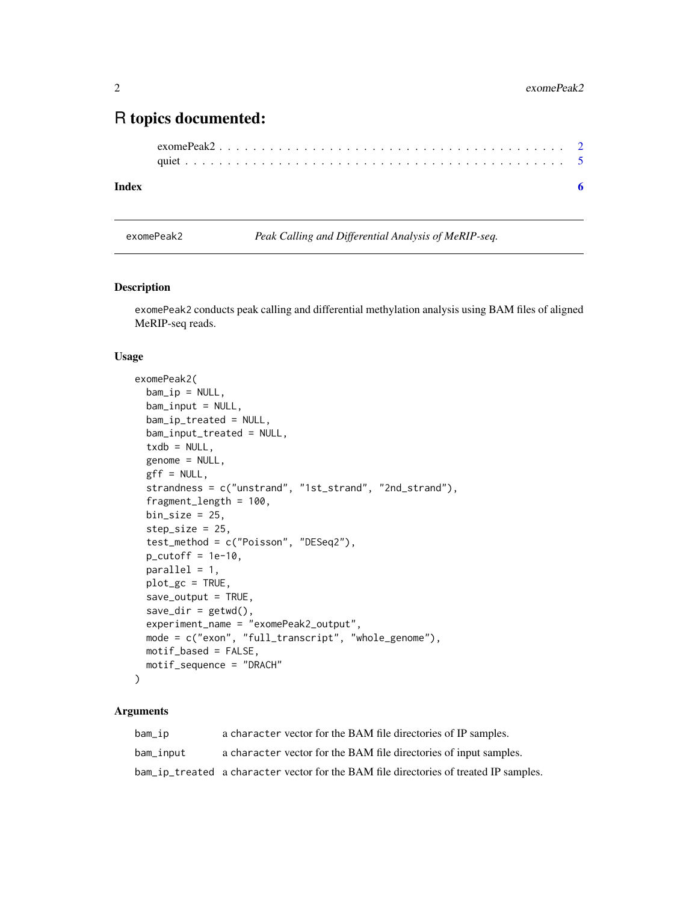### <span id="page-1-0"></span>R topics documented:

#### **Index** [6](#page-5-0) **6**

<span id="page-1-1"></span>exomePeak2 *Peak Calling and Differential Analysis of MeRIP-seq.*

#### Description

exomePeak2 conducts peak calling and differential methylation analysis using BAM files of aligned MeRIP-seq reads.

#### Usage

```
exomePeak2(
 bam_ip = NULL,bam_input = NULL,
 bam_ip_treated = NULL,
 bam_input_treated = NULL,
  txdb = NULL,genome = NULL,
 gff = NULL,strandness = c("unstrand", "1st_strand", "2nd_strand"),
  fragment_length = 100,
 bin\_size = 25,
  step_size = 25,
  test_method = c("Poisson", "DESeq2"),
 p_{\text{cutoff}} = 1e-10,
 parallel = 1,
 plot_gc = TRUE,
  save_output = TRUE,
  save\_dir = getwd(),
 experiment_name = "exomePeak2_output",
 mode = c("exon", "full_transcript", "whole_genome"),
 motif_based = FALSE,
 motif_sequence = "DRACH"
)
```
#### Arguments

| bam_ip    | a character vector for the BAM file directories of IP samples.                        |
|-----------|---------------------------------------------------------------------------------------|
| bam_input | a character vector for the BAM file directories of input samples.                     |
|           | bam_ip_treated a character vector for the BAM file directories of treated IP samples. |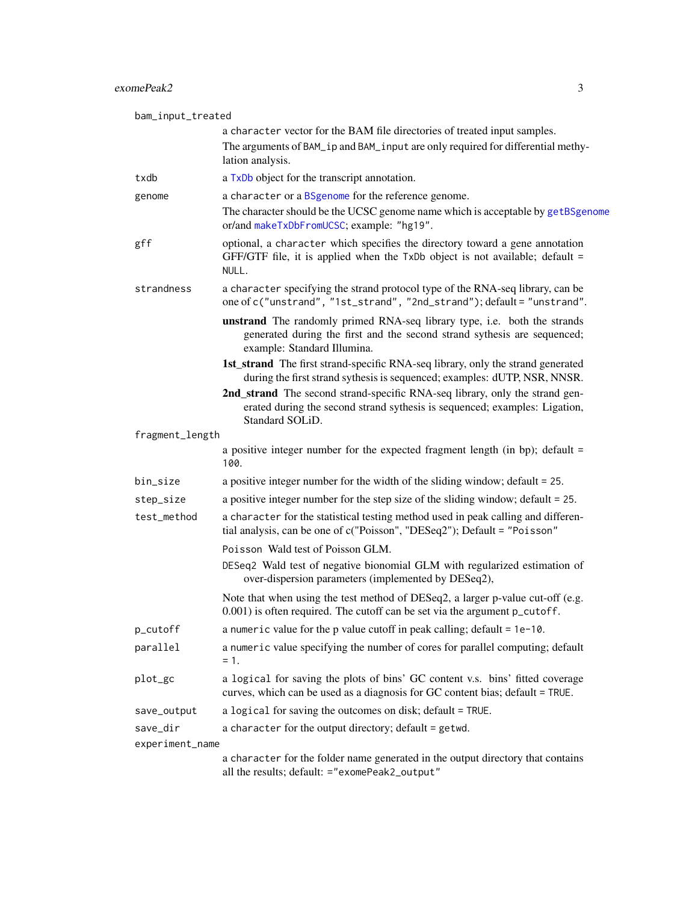<span id="page-2-0"></span>

| bam_input_treated |                                                                                                                                                                                     |
|-------------------|-------------------------------------------------------------------------------------------------------------------------------------------------------------------------------------|
|                   | a character vector for the BAM file directories of treated input samples.                                                                                                           |
|                   | The arguments of BAM_ip and BAM_input are only required for differential methy-<br>lation analysis.                                                                                 |
| txdb              | a TxDb object for the transcript annotation.                                                                                                                                        |
| genome            | a character or a BSgenome for the reference genome.<br>The character should be the UCSC genome name which is acceptable by getBSgenome<br>or/and makeTxDbFromUCSC; example: "hg19". |
| gff               | optional, a character which specifies the directory toward a gene annotation<br>GFF/GTF file, it is applied when the TxDb object is not available; default =<br>NULL.               |
| strandness        | a character specifying the strand protocol type of the RNA-seq library, can be<br>one of c("unstrand", "1st_strand", "2nd_strand"); default = "unstrand".                           |
|                   | unstrand The randomly primed RNA-seq library type, i.e. both the strands<br>generated during the first and the second strand sythesis are sequenced;<br>example: Standard Illumina. |
|                   | 1st_strand The first strand-specific RNA-seq library, only the strand generated<br>during the first strand sythesis is sequenced; examples: dUTP, NSR, NNSR.                        |
|                   | 2nd_strand The second strand-specific RNA-seq library, only the strand gen-<br>erated during the second strand sythesis is sequenced; examples: Ligation,<br>Standard SOLiD.        |
| fragment_length   |                                                                                                                                                                                     |
|                   | a positive integer number for the expected fragment length (in bp); default =<br>100.                                                                                               |
| bin_size          | a positive integer number for the width of the sliding window; default = 25.                                                                                                        |
| step_size         | a positive integer number for the step size of the sliding window; default = 25.                                                                                                    |
| test_method       | a character for the statistical testing method used in peak calling and differen-<br>tial analysis, can be one of c("Poisson", "DESeq2"); Default = "Poisson"                       |
|                   | Poisson Wald test of Poisson GLM.                                                                                                                                                   |
|                   | DESeq2 Wald test of negative bionomial GLM with regularized estimation of<br>over-dispersion parameters (implemented by DESeq2),                                                    |
|                   | Note that when using the test method of DESeq2, a larger p-value cut-off (e.g.<br>0.001) is often required. The cutoff can be set via the argument p_cutoff.                        |
| p_cutoff          | a numeric value for the $p$ value cutoff in peak calling; default = $1e-10$ .                                                                                                       |
| parallel          | a numeric value specifying the number of cores for parallel computing; default<br>$= 1.$                                                                                            |
| plot_gc           | a logical for saving the plots of bins' GC content v.s. bins' fitted coverage<br>curves, which can be used as a diagnosis for GC content bias; default = TRUE.                      |
| save_output       | a logical for saving the outcomes on disk; default = TRUE.                                                                                                                          |
| save_dir          | a character for the output directory; default = getwd.                                                                                                                              |
| experiment_name   |                                                                                                                                                                                     |
|                   | a character for the folder name generated in the output directory that contains<br>all the results; default: ="exomePeak2_output"                                                   |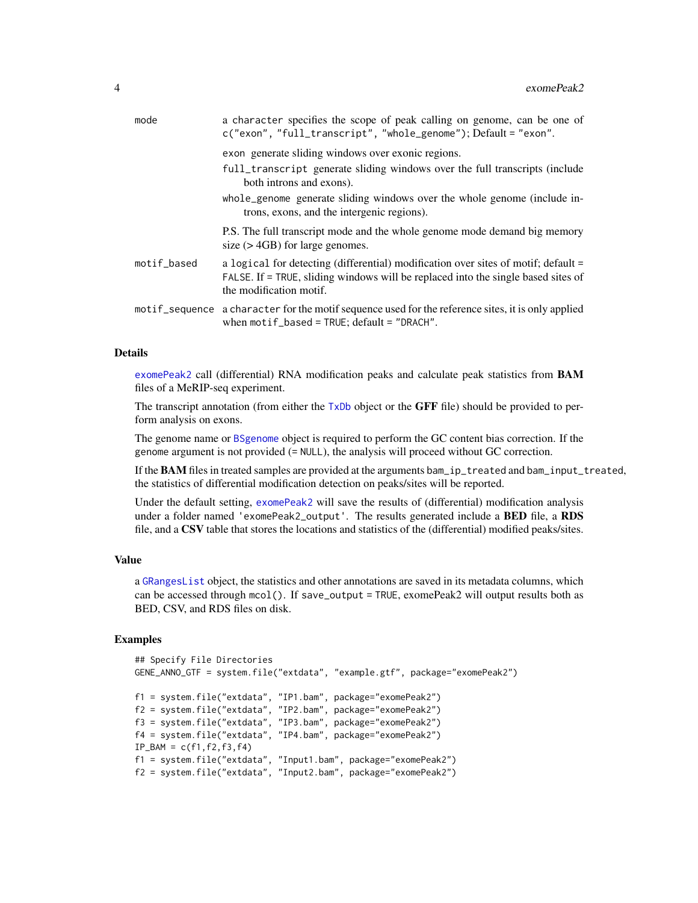<span id="page-3-0"></span>

| mode        | a character specifies the scope of peak calling on genome, can be one of<br>c("exon", "full_transcript", "whole_genome"); Default = "exon".                                                        |
|-------------|----------------------------------------------------------------------------------------------------------------------------------------------------------------------------------------------------|
|             | exon generate sliding windows over exonic regions.                                                                                                                                                 |
|             | full_transcript generate sliding windows over the full transcripts (include<br>both introns and exons).                                                                                            |
|             | whole genome generate sliding windows over the whole genome (include in-<br>trons, exons, and the intergenic regions).                                                                             |
|             | P.S. The full transcript mode and the whole genome mode demand big memory<br>size $($ > 4GB $)$ for large genomes.                                                                                 |
| motif_based | a logical for detecting (differential) modification over sites of motif; default =<br>FALSE. If = TRUE, sliding windows will be replaced into the single based sites of<br>the modification motif. |
|             | motif_sequence a character for the motif sequence used for the reference sites, it is only applied<br>when $motif\_based = TRUE$ ; $default = "DRACT"$ .                                           |

#### Details

[exomePeak2](#page-1-1) call (differential) RNA modification peaks and calculate peak statistics from BAM files of a MeRIP-seq experiment.

The transcript annotation (from either the  $TxDb$  object or the GFF file) should be provided to perform analysis on exons.

The genome name or [BSgenome](#page-0-0) object is required to perform the GC content bias correction. If the genome argument is not provided (= NULL), the analysis will proceed without GC correction.

If the **BAM** files in treated samples are provided at the arguments bam\_ip\_treated and bam\_input\_treated, the statistics of differential modification detection on peaks/sites will be reported.

Under the default setting, [exomePeak2](#page-1-1) will save the results of (differential) modification analysis under a folder named 'exomePeak2\_output'. The results generated include a **BED** file, a RDS file, and a CSV table that stores the locations and statistics of the (differential) modified peaks/sites.

#### Value

a [GRangesList](#page-0-0) object, the statistics and other annotations are saved in its metadata columns, which can be accessed through mcol(). If save\_output = TRUE, exomePeak2 will output results both as BED, CSV, and RDS files on disk.

#### Examples

```
## Specify File Directories
GENE_ANNO_GTF = system.file("extdata", "example.gtf", package="exomePeak2")
f1 = system.file("extdata", "IP1.bam", package="exomePeak2")
f2 = system.file("extdata", "IP2.bam", package="exomePeak2")
f3 = system.file("extdata", "IP3.bam", package="exomePeak2")
f4 = system.file("extdata", "IP4.bam", package="exomePeak2")
IP_BAM = c(f1, f2, f3, f4)f1 = system.file("extdata", "Input1.bam", package="exomePeak2")
f2 = system.file("extdata", "Input2.bam", package="exomePeak2")
```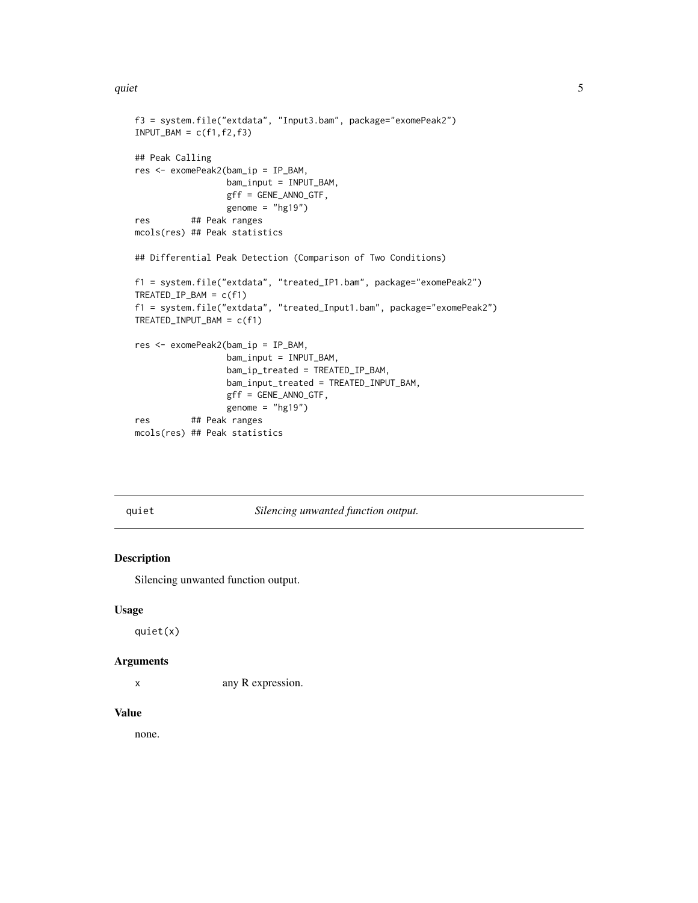#### <span id="page-4-0"></span>quiet the contract of the contract of the contract of the contract of the contract of the contract of the contract of the contract of the contract of the contract of the contract of the contract of the contract of the cont

```
f3 = system.file("extdata", "Input3.bam", package="exomePeak2")
INPUT_BAM = c(f1, f2, f3)## Peak Calling
res <- exomePeak2(bam_ip = IP_BAM,
                 bam_input = INPUT_BAM,
                 gff = GENE_ANNO_GTF,
                 genome = "hg19")
res ## Peak ranges
mcols(res) ## Peak statistics
## Differential Peak Detection (Comparison of Two Conditions)
f1 = system.file("extdata", "treated_IP1.bam", package="exomePeak2")
TREATED_IP_BAM = c(f1)
f1 = system.file("extdata", "treated_Input1.bam", package="exomePeak2")
TREATED_INPUT_BAM = c(f1)
res <- exomePeak2(bam_ip = IP_BAM,
                 bam_input = INPUT_BAM,
                 bam_ip_treated = TREATED_IP_BAM,
                  bam_input_treated = TREATED_INPUT_BAM,
                  gff = GENE_ANNO_GTF,
                 genome = "hg19")
res ## Peak ranges
mcols(res) ## Peak statistics
```
quiet *Silencing unwanted function output.*

#### Description

Silencing unwanted function output.

#### Usage

quiet(x)

#### Arguments

x any R expression.

#### Value

none.